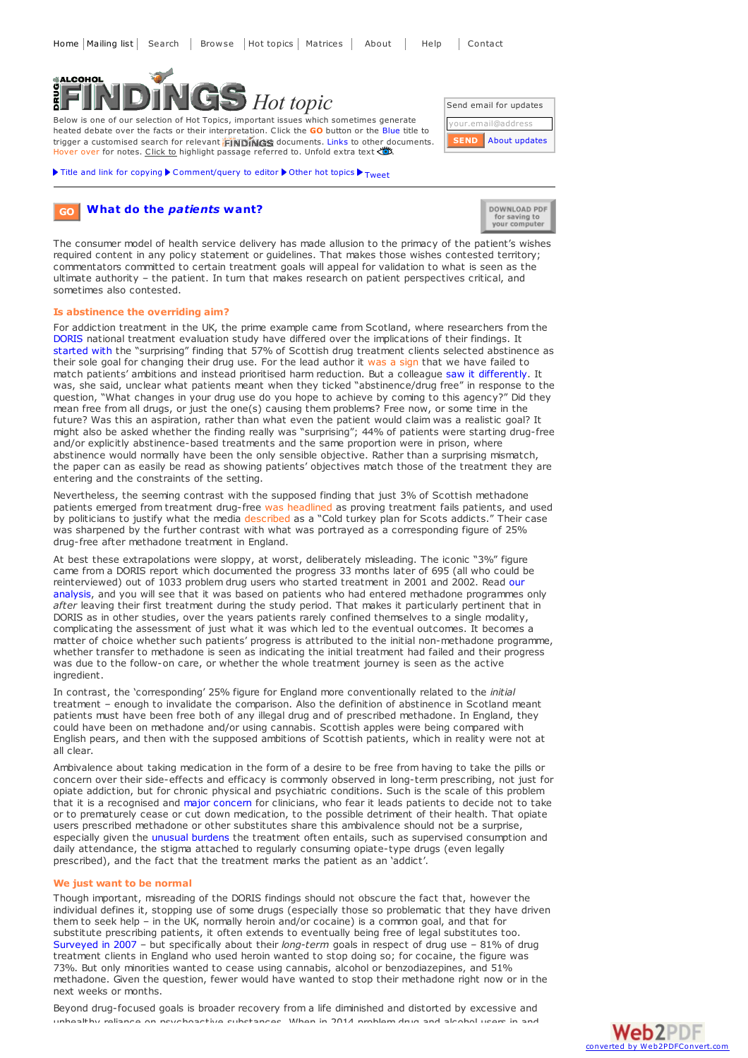

Below is one of our selection of Hot Topics, important issues which sometimes generate heated debate over the facts or their interpretation. Click the **GO** button or the Blue title to trigger a customised search for relevant **EINDINGS** documents. Links to other documents. Hover over for notes. Click to highlight passage referred to. Unfold extra text

Title and link for [copying](javascript:;)  $\blacktriangleright$  [Comment/query](mailto:editor@findings.org.uk?Subject=Findings entry: What do the <em>patients</em> want?&body=Dear Editor%0A%0ARegarding the Findings document:%0AWhat do the <em>patients</em> want?%0Aat:%0Ahttps://findings.org.uk/PHP/dl.php?file=patient_centred.hot%0A%0AI would appreciate your response to this comment/query:%0A[Enter your comment/query here]) to editor  $\blacktriangleright$  [Other](../../hot_topics_archive.php) hot topics  $\blacktriangleright$  [Tweet](https://twitter.com/share)



Send email for updates ail@addres

## **What do the** *[patients](http://www.findings.org.uk/topic_results.php?allCodes[]=M3.+M6.+M8.5x+M8.6x+medicalmanagementx+psychosocial+A8.4x+M8.4x+primary+tier-1+!entry+referral+induction+waiting+screening+briefx+outreach&substance[]=5.9x&othfeat[]=views&source=hot&sortBy=DateAdded&s=eb)* **want? GO**



The consumer model of health service delivery has made allusion to the primacy of the patient's wishes required content in any policy statement or guidelines. That makes those wishes contested territory; commentators committed to certain treatment goals will appeal for validation to what is seen as the ultimate authority – the patient. In turn that makes research on patient perspectives critical, and sometimes also contested.

## **Is abstinence the overriding aim?**

For addiction treatment in the UK, the prime example came from Scotland, where researchers from the [DORIS](https://findings.org.uk/PHP/dl.php?file=DORIS.nug&s=eb) national treatment evaluation study have differed over the implications of their findings. It [started](http://www.eurad.net/filestore/PDF/Whataredruguserslookingfor.pdf) with the "surprising" finding that 57% of Scottish drug treatment clients selected abstinence as their sole goal for changing their drug use. For the lead author it was a sign that we have failed to match patients' ambitions and instead prioritised harm reduction. But a colleague saw it [differently](https://findings.org.uk/PHP/dl.php?file=Neale_J_15.txt&s=eb). It was, she said, unclear what patients meant when they ticked "abstinence/drug free" in response to the question, "What changes in your drug use do you hope to achieve by coming to this agency?" Did they mean free from all drugs, or just the one(s) causing them problems? Free now, or some time in the future? Was this an aspiration, rather than what even the patient would claim was a realistic goal? It might also be asked whether the finding really was "surprising"; 44% of patients were starting drug-free and/or explicitly abstinence-based treatments and the same proportion were in prison, where abstinence would normally have been the only sensible objective. Rather than a surprising mismatch, the paper can as easily be read as showing patients' objectives match those of the treatment they are entering and the constraints of the setting.

Nevertheless, the seeming contrast with the supposed finding that just 3% of Scottish methadone patients emerged from treatment drug-free was headlined as proving treatment fails patients, and used by politicians to justify what the media described as a "Cold turkey plan for Scots addicts." Their case was sharpened by the further contrast with what was portrayed as a corresponding figure of 25% drug-free after methadone treatment in England.

At best these extrapolations were sloppy, at worst, deliberately misleading. The iconic "3%" figure came from a DORIS report which documented the progress 33 months later of 695 (all who could be [reinterviewed\)](https://findings.org.uk/PHP/dl.php?file=DORIS.nug&s=eb) out of 1033 problem drug users who started treatment in 2001 and 2002. Read our analysis, and you will see that it was based on patients who had entered methadone programmes only *after* leaving their first treatment during the study period. That makes it particularly pertinent that in DORIS as in other studies, over the years patients rarely confined themselves to a single modality, complicating the assessment of just what it was which led to the eventual outcomes. It becomes a matter of choice whether such patients' progress is attributed to the initial non-methadone programme, whether transfer to methadone is seen as indicating the initial treatment had failed and their progress was due to the follow-on care, or whether the whole treatment journey is seen as the active ingredient.

In contrast, the 'corresponding' 25% figure for England more conventionally related to the *initial* treatment – enough to invalidate the comparison. Also the definition of abstinence in Scotland meant patients must have been free both of any illegal drug and of prescribed methadone. In England, they could have been on methadone and/or using cannabis. Scottish apples were being compared with English pears, and then with the supposed ambitions of Scottish patients, which in reality were not at all clear.

Ambivalence about taking medication in the form of a desire to be free from having to take the pills or concern over their side-effects and efficacy is commonly observed in long-term prescribing, not just for opiate addiction, but for chronic physical and psychiatric conditions. Such is the scale of this problem that it is a recognised and major [concern](http://www.advocatehealth.com/documents/clinicalevents/medication compliance.pdf) for clinicians, who fear it leads patients to decide not to take or to prematurely cease or cut down medication, to the possible detriment of their health. That opiate users prescribed methadone or other substitutes share this ambivalence should not be a surprise, especially given the unusual [burdens](https://findings.org.uk/PHP/dl.php?file=De_Maeyer_J_2.txt&s=eb) the treatment often entails, such as supervised consumption and daily attendance, the stigma attached to regularly consuming opiate-type drugs (even legally prescribed), and the fact that the treatment marks the patient as an 'addict'.

## **We just want to be normal**

Though important, misreading of the DORIS findings should not obscure the fact that, however the individual defines it, stopping use of some drugs (especially those so problematic that they have driven them to seek help – in the UK, normally heroin and/or cocaine) is a common goal, and that for substitute prescribing patients, it often extends to eventually being free of legal substitutes too. [Surveyed](http://www.nta.nhs.uk/uploads/nta_2007_user_satis_survey_tier2and3_service_users_england.pdf) in 2007 – but specifically about their *long-term* goals in respect of drug use – 81% of drug treatment clients in England who used heroin wanted to stop doing so; for cocaine, the figure was 73%. But only minorities wanted to cease using cannabis, alcohol or benzodiazepines, and 51% methadone. Given the question, fewer would have wanted to stop their methadone right now or in the next weeks or months.

Beyond drug-focused goals is broader recovery from a life diminished and distorted by excessive and unhealthy reliance on psychoactive substances. When in 2014 problem drug and alcohol users in and